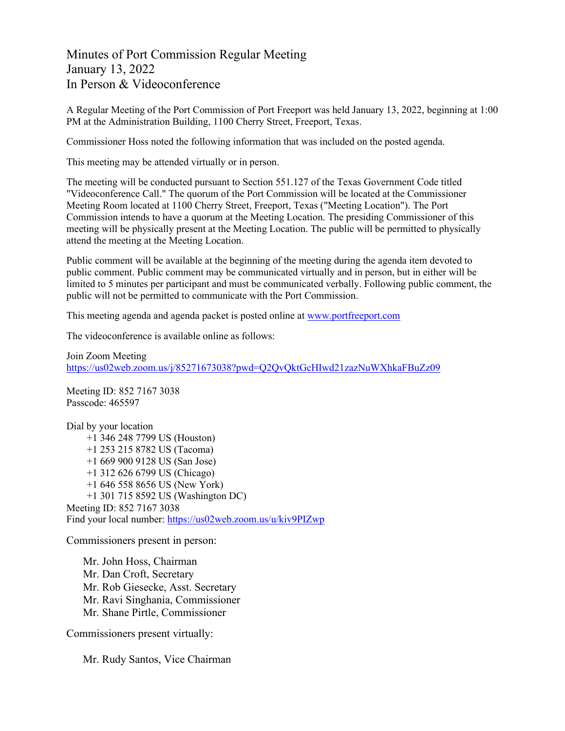Minutes of Port Commission Regular Meeting January 13, 2022 In Person & Videoconference

A Regular Meeting of the Port Commission of Port Freeport was held January 13, 2022, beginning at 1:00 PM at the Administration Building, 1100 Cherry Street, Freeport, Texas.

Commissioner Hoss noted the following information that was included on the posted agenda.

This meeting may be attended virtually or in person.

The meeting will be conducted pursuant to Section 551.127 of the Texas Government Code titled "Videoconference Call." The quorum of the Port Commission will be located at the Commissioner Meeting Room located at 1100 Cherry Street, Freeport, Texas ("Meeting Location"). The Port Commission intends to have a quorum at the Meeting Location. The presiding Commissioner of this meeting will be physically present at the Meeting Location. The public will be permitted to physically attend the meeting at the Meeting Location.

Public comment will be available at the beginning of the meeting during the agenda item devoted to public comment. Public comment may be communicated virtually and in person, but in either will be limited to 5 minutes per participant and must be communicated verbally. Following public comment, the public will not be permitted to communicate with the Port Commission.

This meeting agenda and agenda packet is posted online at [www.portfreeport.com](http://www.portfreeport.com/)

The videoconference is available online as follows:

Join Zoom Meeting <https://us02web.zoom.us/j/85271673038?pwd=Q2QvQktGcHIwd21zazNuWXhkaFBuZz09>

Meeting ID: 852 7167 3038 Passcode: 465597

Dial by your location +1 346 248 7799 US (Houston) +1 253 215 8782 US (Tacoma) +1 669 900 9128 US (San Jose) +1 312 626 6799 US (Chicago) +1 646 558 8656 US (New York) +1 301 715 8592 US (Washington DC) Meeting ID: 852 7167 3038 Find your local number:<https://us02web.zoom.us/u/kiv9PIZwp>

Commissioners present in person:

Mr. John Hoss, Chairman Mr. Dan Croft, Secretary Mr. Rob Giesecke, Asst. Secretary Mr. Ravi Singhania, Commissioner Mr. Shane Pirtle, Commissioner

Commissioners present virtually:

Mr. Rudy Santos, Vice Chairman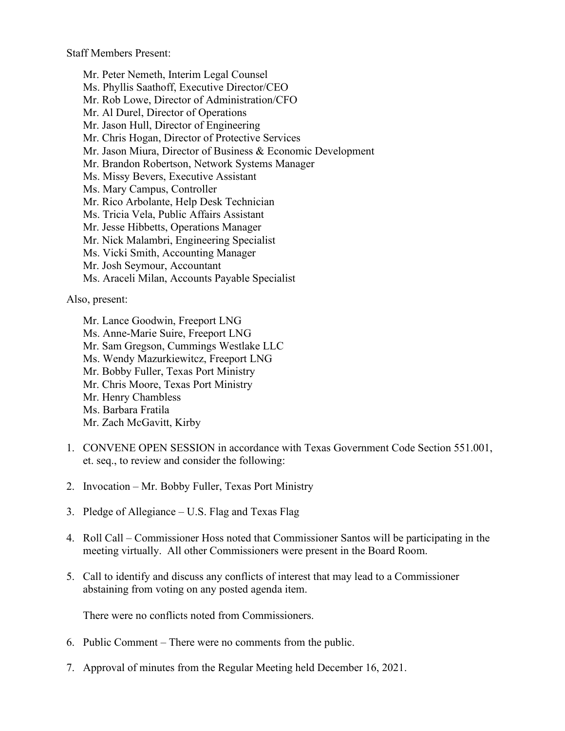Staff Members Present:

Mr. Peter Nemeth, Interim Legal Counsel Ms. Phyllis Saathoff, Executive Director/CEO Mr. Rob Lowe, Director of Administration/CFO Mr. Al Durel, Director of Operations Mr. Jason Hull, Director of Engineering Mr. Chris Hogan, Director of Protective Services Mr. Jason Miura, Director of Business & Economic Development Mr. Brandon Robertson, Network Systems Manager Ms. Missy Bevers, Executive Assistant Ms. Mary Campus, Controller Mr. Rico Arbolante, Help Desk Technician Ms. Tricia Vela, Public Affairs Assistant Mr. Jesse Hibbetts, Operations Manager Mr. Nick Malambri, Engineering Specialist Ms. Vicki Smith, Accounting Manager Mr. Josh Seymour, Accountant Ms. Araceli Milan, Accounts Payable Specialist

Also, present:

Mr. Lance Goodwin, Freeport LNG Ms. Anne-Marie Suire, Freeport LNG Mr. Sam Gregson, Cummings Westlake LLC Ms. Wendy Mazurkiewitcz, Freeport LNG Mr. Bobby Fuller, Texas Port Ministry Mr. Chris Moore, Texas Port Ministry Mr. Henry Chambless Ms. Barbara Fratila Mr. Zach McGavitt, Kirby

- 1. CONVENE OPEN SESSION in accordance with Texas Government Code Section 551.001, et. seq., to review and consider the following:
- 2. Invocation Mr. Bobby Fuller, Texas Port Ministry
- 3. Pledge of Allegiance U.S. Flag and Texas Flag
- 4. Roll Call Commissioner Hoss noted that Commissioner Santos will be participating in the meeting virtually. All other Commissioners were present in the Board Room.
- 5. Call to identify and discuss any conflicts of interest that may lead to a Commissioner abstaining from voting on any posted agenda item.

There were no conflicts noted from Commissioners.

- 6. Public Comment There were no comments from the public.
- 7. Approval of minutes from the Regular Meeting held December 16, 2021.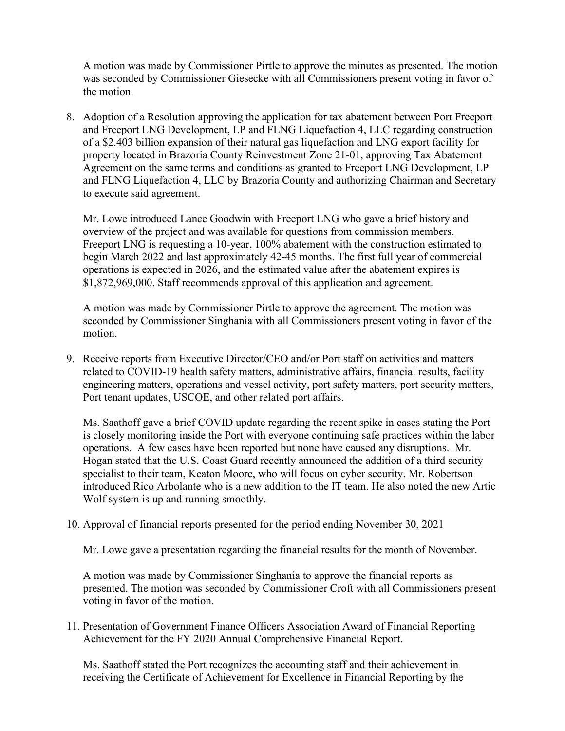A motion was made by Commissioner Pirtle to approve the minutes as presented. The motion was seconded by Commissioner Giesecke with all Commissioners present voting in favor of the motion.

8. Adoption of a Resolution approving the application for tax abatement between Port Freeport and Freeport LNG Development, LP and FLNG Liquefaction 4, LLC regarding construction of a \$2.403 billion expansion of their natural gas liquefaction and LNG export facility for property located in Brazoria County Reinvestment Zone 21-01, approving Tax Abatement Agreement on the same terms and conditions as granted to Freeport LNG Development, LP and FLNG Liquefaction 4, LLC by Brazoria County and authorizing Chairman and Secretary to execute said agreement.

Mr. Lowe introduced Lance Goodwin with Freeport LNG who gave a brief history and overview of the project and was available for questions from commission members. Freeport LNG is requesting a 10-year, 100% abatement with the construction estimated to begin March 2022 and last approximately 42-45 months. The first full year of commercial operations is expected in 2026, and the estimated value after the abatement expires is \$1,872,969,000. Staff recommends approval of this application and agreement.

A motion was made by Commissioner Pirtle to approve the agreement. The motion was seconded by Commissioner Singhania with all Commissioners present voting in favor of the motion.

9. Receive reports from Executive Director/CEO and/or Port staff on activities and matters related to COVID-19 health safety matters, administrative affairs, financial results, facility engineering matters, operations and vessel activity, port safety matters, port security matters, Port tenant updates, USCOE, and other related port affairs.

Ms. Saathoff gave a brief COVID update regarding the recent spike in cases stating the Port is closely monitoring inside the Port with everyone continuing safe practices within the labor operations. A few cases have been reported but none have caused any disruptions. Mr. Hogan stated that the U.S. Coast Guard recently announced the addition of a third security specialist to their team, Keaton Moore, who will focus on cyber security. Mr. Robertson introduced Rico Arbolante who is a new addition to the IT team. He also noted the new Artic Wolf system is up and running smoothly.

## 10. Approval of financial reports presented for the period ending November 30, 2021

Mr. Lowe gave a presentation regarding the financial results for the month of November.

A motion was made by Commissioner Singhania to approve the financial reports as presented. The motion was seconded by Commissioner Croft with all Commissioners present voting in favor of the motion.

11. Presentation of Government Finance Officers Association Award of Financial Reporting Achievement for the FY 2020 Annual Comprehensive Financial Report.

Ms. Saathoff stated the Port recognizes the accounting staff and their achievement in receiving the Certificate of Achievement for Excellence in Financial Reporting by the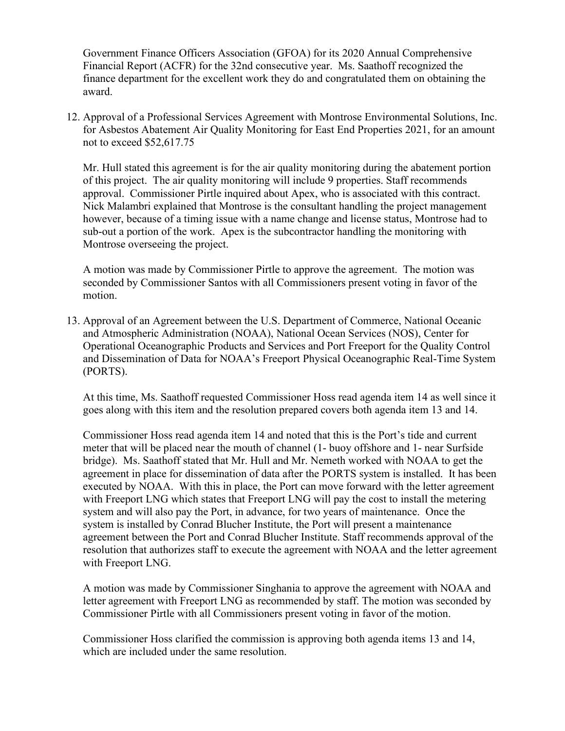Government Finance Officers Association (GFOA) for its 2020 Annual Comprehensive Financial Report (ACFR) for the 32nd consecutive year. Ms. Saathoff recognized the finance department for the excellent work they do and congratulated them on obtaining the award.

12. Approval of a Professional Services Agreement with Montrose Environmental Solutions, Inc. for Asbestos Abatement Air Quality Monitoring for East End Properties 2021, for an amount not to exceed \$52,617.75

Mr. Hull stated this agreement is for the air quality monitoring during the abatement portion of this project. The air quality monitoring will include 9 properties. Staff recommends approval. Commissioner Pirtle inquired about Apex, who is associated with this contract. Nick Malambri explained that Montrose is the consultant handling the project management however, because of a timing issue with a name change and license status, Montrose had to sub-out a portion of the work. Apex is the subcontractor handling the monitoring with Montrose overseeing the project.

A motion was made by Commissioner Pirtle to approve the agreement. The motion was seconded by Commissioner Santos with all Commissioners present voting in favor of the motion.

13. Approval of an Agreement between the U.S. Department of Commerce, National Oceanic and Atmospheric Administration (NOAA), National Ocean Services (NOS), Center for Operational Oceanographic Products and Services and Port Freeport for the Quality Control and Dissemination of Data for NOAA's Freeport Physical Oceanographic Real-Time System (PORTS).

At this time, Ms. Saathoff requested Commissioner Hoss read agenda item 14 as well since it goes along with this item and the resolution prepared covers both agenda item 13 and 14.

Commissioner Hoss read agenda item 14 and noted that this is the Port's tide and current meter that will be placed near the mouth of channel (1- buoy offshore and 1- near Surfside bridge). Ms. Saathoff stated that Mr. Hull and Mr. Nemeth worked with NOAA to get the agreement in place for dissemination of data after the PORTS system is installed. It has been executed by NOAA. With this in place, the Port can move forward with the letter agreement with Freeport LNG which states that Freeport LNG will pay the cost to install the metering system and will also pay the Port, in advance, for two years of maintenance. Once the system is installed by Conrad Blucher Institute, the Port will present a maintenance agreement between the Port and Conrad Blucher Institute. Staff recommends approval of the resolution that authorizes staff to execute the agreement with NOAA and the letter agreement with Freeport LNG.

A motion was made by Commissioner Singhania to approve the agreement with NOAA and letter agreement with Freeport LNG as recommended by staff. The motion was seconded by Commissioner Pirtle with all Commissioners present voting in favor of the motion.

Commissioner Hoss clarified the commission is approving both agenda items 13 and 14, which are included under the same resolution.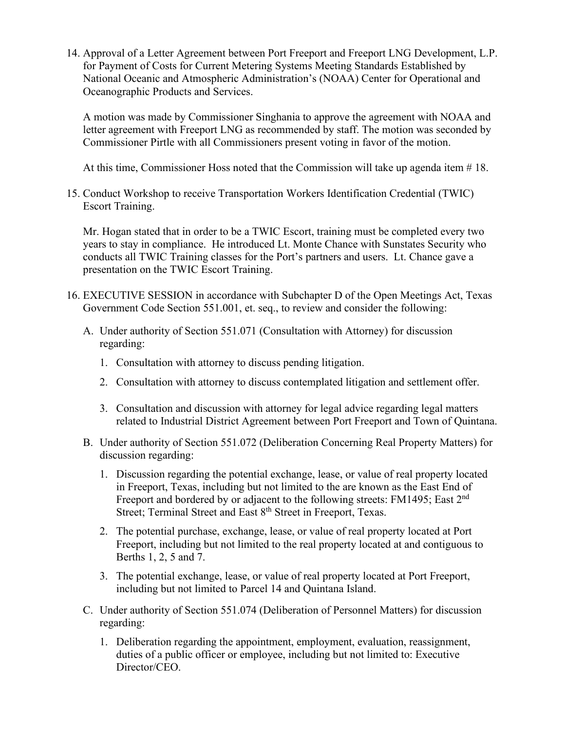14. Approval of a Letter Agreement between Port Freeport and Freeport LNG Development, L.P. for Payment of Costs for Current Metering Systems Meeting Standards Established by National Oceanic and Atmospheric Administration's (NOAA) Center for Operational and Oceanographic Products and Services.

A motion was made by Commissioner Singhania to approve the agreement with NOAA and letter agreement with Freeport LNG as recommended by staff. The motion was seconded by Commissioner Pirtle with all Commissioners present voting in favor of the motion.

At this time, Commissioner Hoss noted that the Commission will take up agenda item # 18.

15. Conduct Workshop to receive Transportation Workers Identification Credential (TWIC) Escort Training.

Mr. Hogan stated that in order to be a TWIC Escort, training must be completed every two years to stay in compliance. He introduced Lt. Monte Chance with Sunstates Security who conducts all TWIC Training classes for the Port's partners and users. Lt. Chance gave a presentation on the TWIC Escort Training.

- 16. EXECUTIVE SESSION in accordance with Subchapter D of the Open Meetings Act, Texas Government Code Section 551.001, et. seq., to review and consider the following:
	- A. Under authority of Section 551.071 (Consultation with Attorney) for discussion regarding:
		- 1. Consultation with attorney to discuss pending litigation.
		- 2. Consultation with attorney to discuss contemplated litigation and settlement offer.
		- 3. Consultation and discussion with attorney for legal advice regarding legal matters related to Industrial District Agreement between Port Freeport and Town of Quintana.
	- B. Under authority of Section 551.072 (Deliberation Concerning Real Property Matters) for discussion regarding:
		- 1. Discussion regarding the potential exchange, lease, or value of real property located in Freeport, Texas, including but not limited to the are known as the East End of Freeport and bordered by or adjacent to the following streets: FM1495; East 2<sup>nd</sup> Street; Terminal Street and East 8<sup>th</sup> Street in Freeport, Texas.
		- 2. The potential purchase, exchange, lease, or value of real property located at Port Freeport, including but not limited to the real property located at and contiguous to Berths 1, 2, 5 and 7.
		- 3. The potential exchange, lease, or value of real property located at Port Freeport, including but not limited to Parcel 14 and Quintana Island.
	- C. Under authority of Section 551.074 (Deliberation of Personnel Matters) for discussion regarding:
		- 1. Deliberation regarding the appointment, employment, evaluation, reassignment, duties of a public officer or employee, including but not limited to: Executive Director/CEO.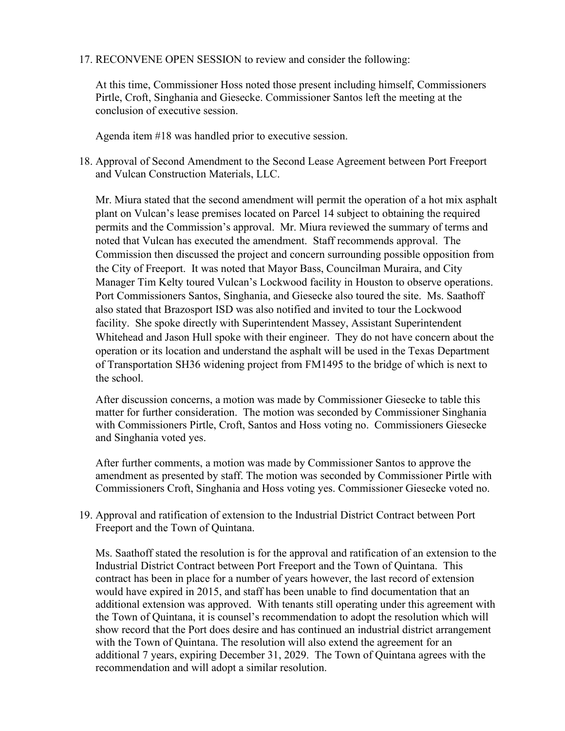17. RECONVENE OPEN SESSION to review and consider the following:

At this time, Commissioner Hoss noted those present including himself, Commissioners Pirtle, Croft, Singhania and Giesecke. Commissioner Santos left the meeting at the conclusion of executive session.

Agenda item #18 was handled prior to executive session.

18. Approval of Second Amendment to the Second Lease Agreement between Port Freeport and Vulcan Construction Materials, LLC.

Mr. Miura stated that the second amendment will permit the operation of a hot mix asphalt plant on Vulcan's lease premises located on Parcel 14 subject to obtaining the required permits and the Commission's approval. Mr. Miura reviewed the summary of terms and noted that Vulcan has executed the amendment. Staff recommends approval. The Commission then discussed the project and concern surrounding possible opposition from the City of Freeport. It was noted that Mayor Bass, Councilman Muraira, and City Manager Tim Kelty toured Vulcan's Lockwood facility in Houston to observe operations. Port Commissioners Santos, Singhania, and Giesecke also toured the site. Ms. Saathoff also stated that Brazosport ISD was also notified and invited to tour the Lockwood facility. She spoke directly with Superintendent Massey, Assistant Superintendent Whitehead and Jason Hull spoke with their engineer. They do not have concern about the operation or its location and understand the asphalt will be used in the Texas Department of Transportation SH36 widening project from FM1495 to the bridge of which is next to the school.

After discussion concerns, a motion was made by Commissioner Giesecke to table this matter for further consideration. The motion was seconded by Commissioner Singhania with Commissioners Pirtle, Croft, Santos and Hoss voting no. Commissioners Giesecke and Singhania voted yes.

After further comments, a motion was made by Commissioner Santos to approve the amendment as presented by staff. The motion was seconded by Commissioner Pirtle with Commissioners Croft, Singhania and Hoss voting yes. Commissioner Giesecke voted no.

19. Approval and ratification of extension to the Industrial District Contract between Port Freeport and the Town of Quintana.

Ms. Saathoff stated the resolution is for the approval and ratification of an extension to the Industrial District Contract between Port Freeport and the Town of Quintana. This contract has been in place for a number of years however, the last record of extension would have expired in 2015, and staff has been unable to find documentation that an additional extension was approved. With tenants still operating under this agreement with the Town of Quintana, it is counsel's recommendation to adopt the resolution which will show record that the Port does desire and has continued an industrial district arrangement with the Town of Quintana. The resolution will also extend the agreement for an additional 7 years, expiring December 31, 2029. The Town of Quintana agrees with the recommendation and will adopt a similar resolution.